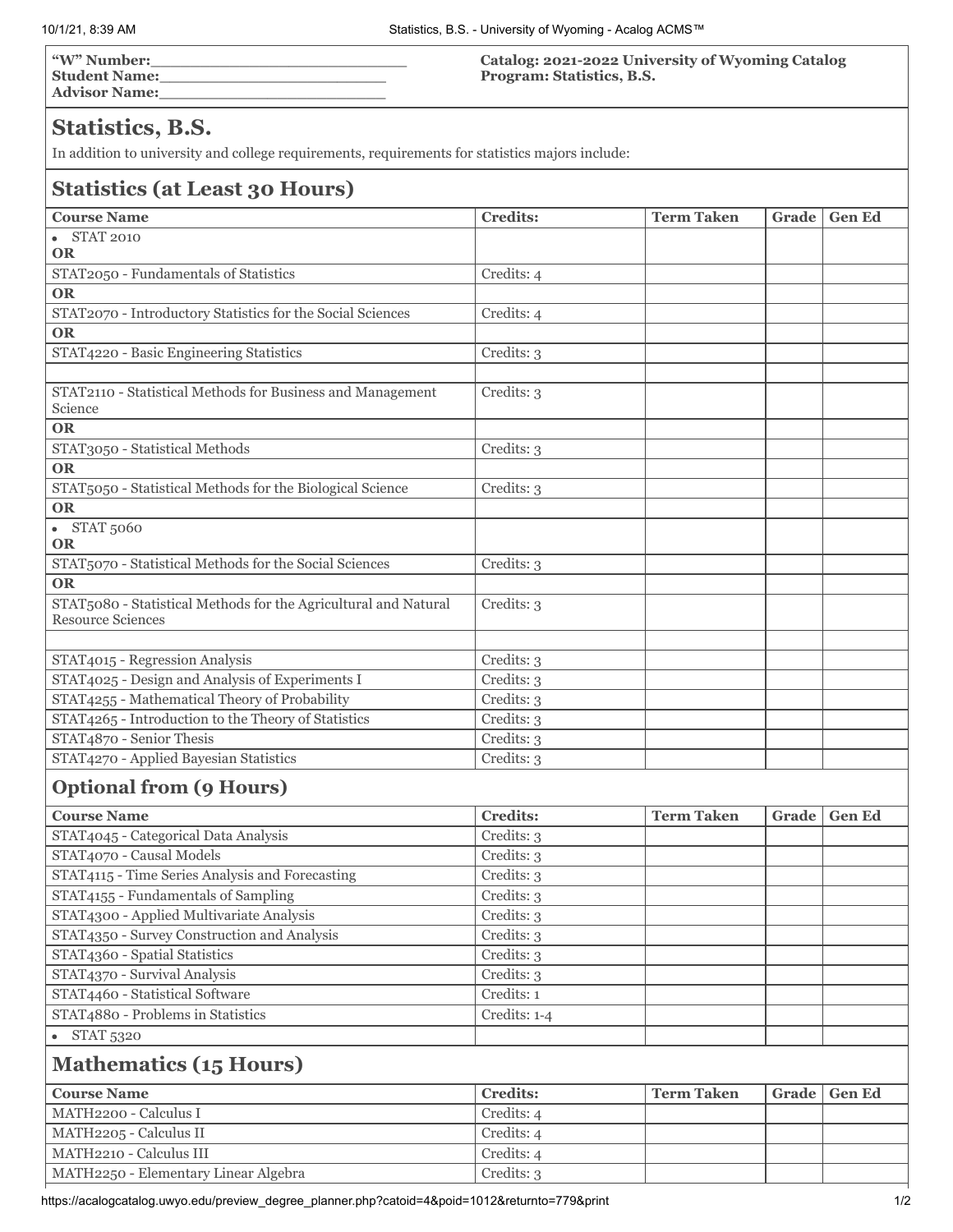**"W" Number:\_\_\_\_\_\_\_\_\_\_\_\_\_\_\_\_\_\_\_\_\_\_\_\_\_\_ Student Name:\_\_\_\_\_\_\_\_\_\_\_\_\_\_\_\_\_\_\_\_\_\_\_ Advisor Name:\_\_\_\_\_\_\_\_\_\_\_\_\_\_\_\_\_\_\_\_\_\_\_** **Catalog: 2021-2022 University of Wyoming Catalog Program: Statistics, B.S.**

## **Statistics, B.S.**

In addition to university and college requirements, requirements for statistics majors include:

## **Statistics (at Least 30 Hours)**

| <b>Course Name</b>                                                    | <b>Credits:</b> | <b>Term Taken</b> | Grade | <b>Gen Ed</b> |  |
|-----------------------------------------------------------------------|-----------------|-------------------|-------|---------------|--|
| <b>STAT 2010</b><br>$\bullet$                                         |                 |                   |       |               |  |
| <b>OR</b>                                                             |                 |                   |       |               |  |
| STAT2050 - Fundamentals of Statistics                                 | Credits: 4      |                   |       |               |  |
| <b>OR</b>                                                             |                 |                   |       |               |  |
| STAT2070 - Introductory Statistics for the Social Sciences            | Credits: 4      |                   |       |               |  |
| <b>OR</b>                                                             |                 |                   |       |               |  |
| STAT4220 - Basic Engineering Statistics                               | Credits: 3      |                   |       |               |  |
|                                                                       |                 |                   |       |               |  |
| STAT2110 - Statistical Methods for Business and Management<br>Science | Credits: 3      |                   |       |               |  |
| <b>OR</b>                                                             |                 |                   |       |               |  |
| STAT3050 - Statistical Methods                                        | Credits: 3      |                   |       |               |  |
| <b>OR</b>                                                             |                 |                   |       |               |  |
| STAT5050 - Statistical Methods for the Biological Science             | Credits: 3      |                   |       |               |  |
| <b>OR</b>                                                             |                 |                   |       |               |  |
|                                                                       |                 |                   |       |               |  |
| • STAT 5060<br><b>OR</b>                                              |                 |                   |       |               |  |
| STAT5070 - Statistical Methods for the Social Sciences                | Credits: 3      |                   |       |               |  |
| <b>OR</b>                                                             |                 |                   |       |               |  |
| STAT5080 - Statistical Methods for the Agricultural and Natural       | Credits: 3      |                   |       |               |  |
| <b>Resource Sciences</b>                                              |                 |                   |       |               |  |
|                                                                       |                 |                   |       |               |  |
| STAT4015 - Regression Analysis                                        | Credits: 3      |                   |       |               |  |
| STAT4025 - Design and Analysis of Experiments I                       | Credits: 3      |                   |       |               |  |
| STAT4255 - Mathematical Theory of Probability                         | Credits: 3      |                   |       |               |  |
| STAT4265 - Introduction to the Theory of Statistics                   | Credits: 3      |                   |       |               |  |
| STAT4870 - Senior Thesis                                              | Credits: 3      |                   |       |               |  |
| STAT4270 - Applied Bayesian Statistics                                | Credits: 3      |                   |       |               |  |
|                                                                       |                 |                   |       |               |  |
| <b>Optional from (9 Hours)</b>                                        |                 |                   |       |               |  |
| <b>Course Name</b>                                                    | <b>Credits:</b> | <b>Term Taken</b> | Grade | <b>Gen Ed</b> |  |
| STAT4045 - Categorical Data Analysis                                  | Credits: 3      |                   |       |               |  |
| STAT4070 - Causal Models                                              | Credits: 3      |                   |       |               |  |
| STAT4115 - Time Series Analysis and Forecasting                       | Credits: 3      |                   |       |               |  |
| STAT4155 - Fundamentals of Sampling                                   | Credits: 3      |                   |       |               |  |
| STAT4300 - Applied Multivariate Analysis                              | Credits: 3      |                   |       |               |  |
| STAT4350 - Survey Construction and Analysis                           | Credits: 3      |                   |       |               |  |
| STAT4360 - Spatial Statistics                                         | Credits: 3      |                   |       |               |  |
| STAT4370 - Survival Analysis                                          | Credits: 3      |                   |       |               |  |
| STAT4460 - Statistical Software                                       | Credits: 1      |                   |       |               |  |
| STAT4880 - Problems in Statistics                                     | Credits: 1-4    |                   |       |               |  |
| $\bullet$ STAT 5320                                                   |                 |                   |       |               |  |
|                                                                       |                 |                   |       |               |  |
| <b>Mathematics (15 Hours)</b>                                         |                 |                   |       |               |  |
| <b>Course Name</b>                                                    | <b>Credits:</b> | <b>Term Taken</b> | Grade | <b>Gen Ed</b> |  |
| MATH2200 - Calculus I                                                 | Credits: 4      |                   |       |               |  |
| MATH2205 - Calculus II                                                | Credits: 4      |                   |       |               |  |
| MATH2210 - Calculus III                                               | Credits: 4      |                   |       |               |  |
| MATH2250 - Elementary Linear Algebra                                  | Credits: 3      |                   |       |               |  |